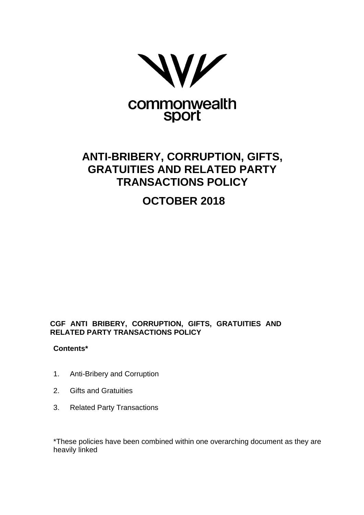

# **ANTI-BRIBERY, CORRUPTION, GIFTS, GRATUITIES AND RELATED PARTY TRANSACTIONS POLICY**

# **OCTOBER 2018**

# **CGF ANTI BRIBERY, CORRUPTION, GIFTS, GRATUITIES AND RELATED PARTY TRANSACTIONS POLICY**

# **Contents\***

- 1. Anti-Bribery and Corruption
- 2. Gifts and Gratuities
- 3. Related Party Transactions

\*These policies have been combined within one overarching document as they are heavily linked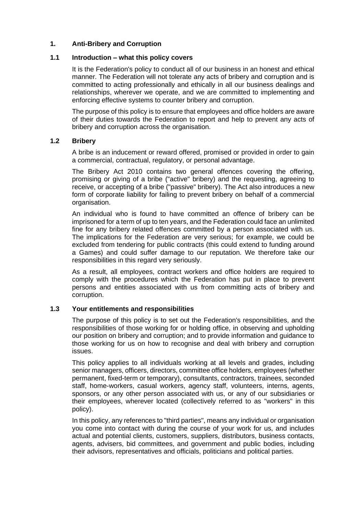## **1. Anti-Bribery and Corruption**

#### **1.1 Introduction – what this policy covers**

It is the Federation's policy to conduct all of our business in an honest and ethical manner. The Federation will not tolerate any acts of bribery and corruption and is committed to acting professionally and ethically in all our business dealings and relationships, wherever we operate, and we are committed to implementing and enforcing effective systems to counter bribery and corruption.

The purpose of this policy is to ensure that employees and office holders are aware of their duties towards the Federation to report and help to prevent any acts of bribery and corruption across the organisation.

#### **1.2 Bribery**

A bribe is an inducement or reward offered, promised or provided in order to gain a commercial, contractual, regulatory, or personal advantage.

The Bribery Act 2010 contains two general offences covering the offering, promising or giving of a bribe ("active" bribery) and the requesting, agreeing to receive, or accepting of a bribe ("passive" bribery). The Act also introduces a new form of corporate liability for failing to prevent bribery on behalf of a commercial organisation.

An individual who is found to have committed an offence of bribery can be imprisoned for a term of up to ten years, and the Federation could face an unlimited fine for any bribery related offences committed by a person associated with us. The implications for the Federation are very serious; for example, we could be excluded from tendering for public contracts (this could extend to funding around a Games) and could suffer damage to our reputation. We therefore take our responsibilities in this regard very seriously.

As a result, all employees, contract workers and office holders are required to comply with the procedures which the Federation has put in place to prevent persons and entities associated with us from committing acts of bribery and corruption.

## **1.3 Your entitlements and responsibilities**

The purpose of this policy is to set out the Federation's responsibilities, and the responsibilities of those working for or holding office, in observing and upholding our position on bribery and corruption; and to provide information and guidance to those working for us on how to recognise and deal with bribery and corruption issues.

This policy applies to all individuals working at all levels and grades, including senior managers, officers, directors, committee office holders, employees (whether permanent, fixed-term or temporary), consultants, contractors, trainees, seconded staff, home-workers, casual workers, agency staff, volunteers, interns, agents, sponsors, or any other person associated with us, or any of our subsidiaries or their employees, wherever located (collectively referred to as "workers" in this policy).

In this policy, any references to "third parties", means any individual or organisation you come into contact with during the course of your work for us, and includes actual and potential clients, customers, suppliers, distributors, business contacts, agents, advisers, bid committees, and government and public bodies, including their advisors, representatives and officials, politicians and political parties.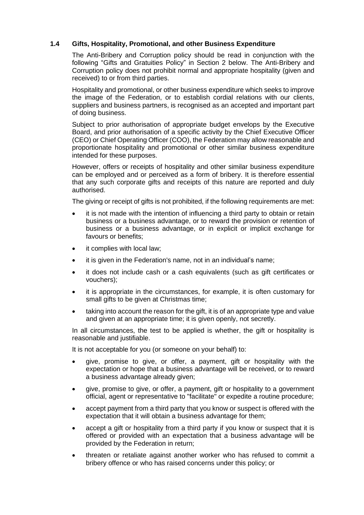## **1.4 Gifts, Hospitality, Promotional, and other Business Expenditure**

The Anti-Bribery and Corruption policy should be read in conjunction with the following "Gifts and Gratuities Policy" in Section 2 below. The Anti-Bribery and Corruption policy does not prohibit normal and appropriate hospitality (given and received) to or from third parties.

Hospitality and promotional, or other business expenditure which seeks to improve the image of the Federation, or to establish cordial relations with our clients, suppliers and business partners, is recognised as an accepted and important part of doing business.

Subject to prior authorisation of appropriate budget envelops by the Executive Board, and prior authorisation of a specific activity by the Chief Executive Officer (CEO) or Chief Operating Officer (COO), the Federation may allow reasonable and proportionate hospitality and promotional or other similar business expenditure intended for these purposes.

However, offers or receipts of hospitality and other similar business expenditure can be employed and or perceived as a form of bribery. It is therefore essential that any such corporate gifts and receipts of this nature are reported and duly authorised.

The giving or receipt of gifts is not prohibited, if the following requirements are met:

- it is not made with the intention of influencing a third party to obtain or retain business or a business advantage, or to reward the provision or retention of business or a business advantage, or in explicit or implicit exchange for favours or benefits;
- it complies with local law;
- it is given in the Federation's name, not in an individual's name:
- it does not include cash or a cash equivalents (such as gift certificates or vouchers);
- it is appropriate in the circumstances, for example, it is often customary for small gifts to be given at Christmas time;
- taking into account the reason for the gift, it is of an appropriate type and value and given at an appropriate time; it is given openly, not secretly.

In all circumstances, the test to be applied is whether, the gift or hospitality is reasonable and justifiable.

It is not acceptable for you (or someone on your behalf) to:

- give, promise to give, or offer, a payment, gift or hospitality with the expectation or hope that a business advantage will be received, or to reward a business advantage already given;
- give, promise to give, or offer, a payment, gift or hospitality to a government official, agent or representative to "facilitate" or expedite a routine procedure;
- accept payment from a third party that you know or suspect is offered with the expectation that it will obtain a business advantage for them;
- accept a gift or hospitality from a third party if you know or suspect that it is offered or provided with an expectation that a business advantage will be provided by the Federation in return;
- threaten or retaliate against another worker who has refused to commit a bribery offence or who has raised concerns under this policy; or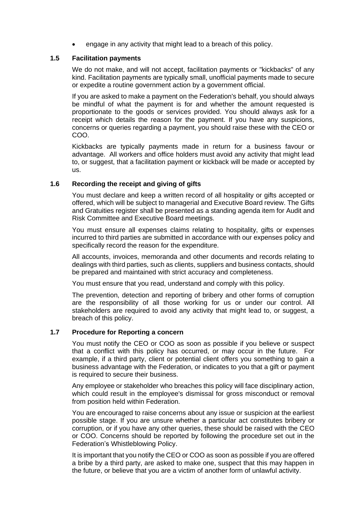engage in any activity that might lead to a breach of this policy.

#### **1.5 Facilitation payments**

We do not make, and will not accept, facilitation payments or "kickbacks" of any kind. Facilitation payments are typically small, unofficial payments made to secure or expedite a routine government action by a government official.

If you are asked to make a payment on the Federation's behalf, you should always be mindful of what the payment is for and whether the amount requested is proportionate to the goods or services provided. You should always ask for a receipt which details the reason for the payment. If you have any suspicions, concerns or queries regarding a payment, you should raise these with the CEO or COO.

Kickbacks are typically payments made in return for a business favour or advantage. All workers and office holders must avoid any activity that might lead to, or suggest, that a facilitation payment or kickback will be made or accepted by us.

## **1.6 Recording the receipt and giving of gifts**

You must declare and keep a written record of all hospitality or gifts accepted or offered, which will be subject to managerial and Executive Board review. The Gifts and Gratuities register shall be presented as a standing agenda item for Audit and Risk Committee and Executive Board meetings.

You must ensure all expenses claims relating to hospitality, gifts or expenses incurred to third parties are submitted in accordance with our expenses policy and specifically record the reason for the expenditure.

All accounts, invoices, memoranda and other documents and records relating to dealings with third parties, such as clients, suppliers and business contacts, should be prepared and maintained with strict accuracy and completeness.

You must ensure that you read, understand and comply with this policy.

The prevention, detection and reporting of bribery and other forms of corruption are the responsibility of all those working for us or under our control. All stakeholders are required to avoid any activity that might lead to, or suggest, a breach of this policy.

## **1.7 Procedure for Reporting a concern**

You must notify the CEO or COO as soon as possible if you believe or suspect that a conflict with this policy has occurred, or may occur in the future. For example, if a third party, client or potential client offers you something to gain a business advantage with the Federation, or indicates to you that a gift or payment is required to secure their business.

Any employee or stakeholder who breaches this policy will face disciplinary action, which could result in the employee's dismissal for gross misconduct or removal from position held within Federation.

You are encouraged to raise concerns about any issue or suspicion at the earliest possible stage. If you are unsure whether a particular act constitutes bribery or corruption, or if you have any other queries, these should be raised with the CEO or COO. Concerns should be reported by following the procedure set out in the Federation's Whistleblowing Policy.

It is important that you notify the CEO or COO as soon as possible if you are offered a bribe by a third party, are asked to make one, suspect that this may happen in the future, or believe that you are a victim of another form of unlawful activity.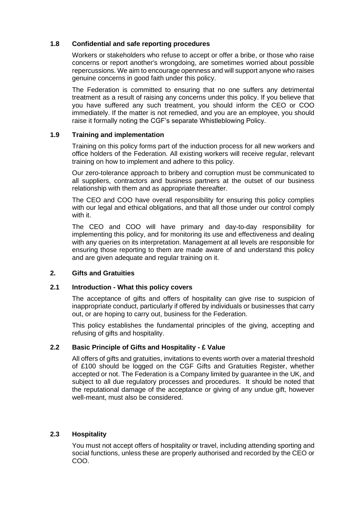## **1.8 Confidential and safe reporting procedures**

Workers or stakeholders who refuse to accept or offer a bribe, or those who raise concerns or report another's wrongdoing, are sometimes worried about possible repercussions. We aim to encourage openness and will support anyone who raises genuine concerns in good faith under this policy.

The Federation is committed to ensuring that no one suffers any detrimental treatment as a result of raising any concerns under this policy. If you believe that you have suffered any such treatment, you should inform the CEO or COO immediately. If the matter is not remedied, and you are an employee, you should raise it formally noting the CGF's separate Whistleblowing Policy.

## **1.9 Training and implementation**

Training on this policy forms part of the induction process for all new workers and office holders of the Federation. All existing workers will receive regular, relevant training on how to implement and adhere to this policy.

Our zero-tolerance approach to bribery and corruption must be communicated to all suppliers, contractors and business partners at the outset of our business relationship with them and as appropriate thereafter.

The CEO and COO have overall responsibility for ensuring this policy complies with our legal and ethical obligations, and that all those under our control comply with it.

The CEO and COO will have primary and day-to-day responsibility for implementing this policy, and for monitoring its use and effectiveness and dealing with any queries on its interpretation. Management at all levels are responsible for ensuring those reporting to them are made aware of and understand this policy and are given adequate and regular training on it.

## **2. Gifts and Gratuities**

## **2.1 Introduction - What this policy covers**

The acceptance of gifts and offers of hospitality can give rise to suspicion of inappropriate conduct, particularly if offered by individuals or businesses that carry out, or are hoping to carry out, business for the Federation.

This policy establishes the fundamental principles of the giving, accepting and refusing of gifts and hospitality.

## **2.2 Basic Principle of Gifts and Hospitality - £ Value**

All offers of gifts and gratuities, invitations to events worth over a material threshold of £100 should be logged on the CGF Gifts and Gratuities Register, whether accepted or not. The Federation is a Company limited by guarantee in the UK, and subject to all due regulatory processes and procedures. It should be noted that the reputational damage of the acceptance or giving of any undue gift, however well-meant, must also be considered.

## **2.3 Hospitality**

You must not accept offers of hospitality or travel, including attending sporting and social functions, unless these are properly authorised and recorded by the CEO or COO.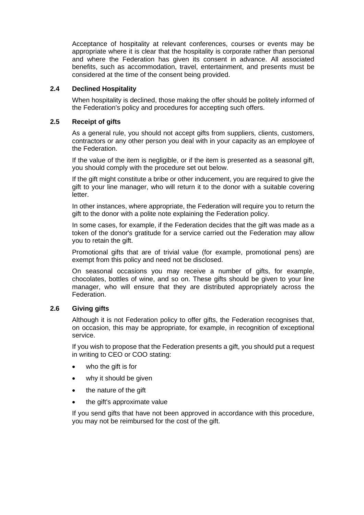Acceptance of hospitality at relevant conferences, courses or events may be appropriate where it is clear that the hospitality is corporate rather than personal and where the Federation has given its consent in advance. All associated benefits, such as accommodation, travel, entertainment, and presents must be considered at the time of the consent being provided.

## **2.4 Declined Hospitality**

When hospitality is declined, those making the offer should be politely informed of the Federation's policy and procedures for accepting such offers.

#### **2.5 Receipt of gifts**

As a general rule, you should not accept gifts from suppliers, clients, customers, contractors or any other person you deal with in your capacity as an employee of the Federation.

If the value of the item is negligible, or if the item is presented as a seasonal gift, you should comply with the procedure set out below.

If the gift might constitute a bribe or other inducement, you are required to give the gift to your line manager, who will return it to the donor with a suitable covering letter.

In other instances, where appropriate, the Federation will require you to return the gift to the donor with a polite note explaining the Federation policy.

In some cases, for example, if the Federation decides that the gift was made as a token of the donor's gratitude for a service carried out the Federation may allow you to retain the gift.

Promotional gifts that are of trivial value (for example, promotional pens) are exempt from this policy and need not be disclosed.

On seasonal occasions you may receive a number of gifts, for example, chocolates, bottles of wine, and so on. These gifts should be given to your line manager, who will ensure that they are distributed appropriately across the Federation.

## **2.6 Giving gifts**

Although it is not Federation policy to offer gifts, the Federation recognises that, on occasion, this may be appropriate, for example, in recognition of exceptional service.

If you wish to propose that the Federation presents a gift, you should put a request in writing to CEO or COO stating:

- who the gift is for
- why it should be given
- the nature of the gift
- the gift's approximate value

If you send gifts that have not been approved in accordance with this procedure, you may not be reimbursed for the cost of the gift.